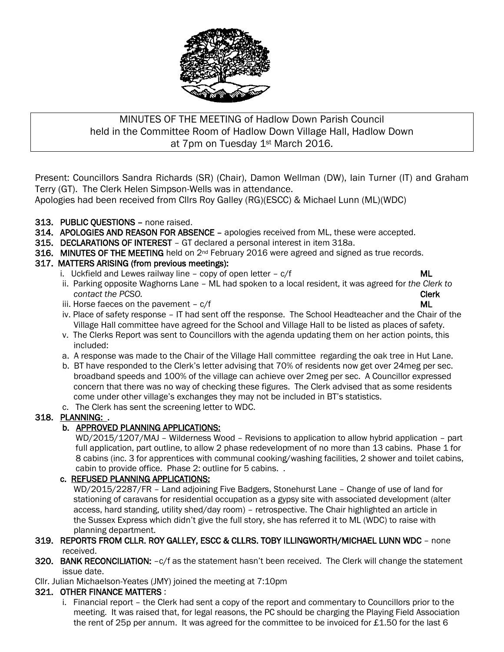

## MINUTES OF THE MEETING of Hadlow Down Parish Council held in the Committee Room of Hadlow Down Village Hall, Hadlow Down at 7pm on Tuesday 1st March 2016.

Present: Councillors Sandra Richards (SR) (Chair), Damon Wellman (DW), Iain Turner (IT) and Graham Terry (GT). The Clerk Helen Simpson-Wells was in attendance.

Apologies had been received from Cllrs Roy Galley (RG)(ESCC) & Michael Lunn (ML)(WDC)

## 313. PUBLIC QUESTIONS – none raised.

- 314. APOLOGIES AND REASON FOR ABSENCE apologies received from ML, these were accepted.
- 315. DECLARATIONS OF INTEREST GT declared a personal interest in item 318a.
- 316. MINUTES OF THE MEETING held on  $2^{nd}$  February 2016 were agreed and signed as true records.

## 317. MATTERS ARISING (from previous meetings):

- i. Uckfield and Lewes railway line copy of open letter  $c/f$  ML
- ii. Parking opposite Waghorns Lane ML had spoken to a local resident, it was agreed for *the Clerk to contact the PCSO. Clerk*
- iii. Horse faeces on the pavement  $-c/f$  and  $\blacksquare$
- iv. Place of safety response IT had sent off the response. The School Headteacher and the Chair of the Village Hall committee have agreed for the School and Village Hall to be listed as places of safety.
- v. The Clerks Report was sent to Councillors with the agenda updating them on her action points, this included:
- a. A response was made to the Chair of the Village Hall committee regarding the oak tree in Hut Lane.
- b. BT have responded to the Clerk's letter advising that 70% of residents now get over 24meg per sec. broadband speeds and 100% of the village can achieve over 2meg per sec. A Councillor expressed concern that there was no way of checking these figures. The Clerk advised that as some residents come under other village's exchanges they may not be included in BT's statistics.
- c. The Clerk has sent the screening letter to WDC.

## 318. PLANNING: .

## b. APPROVED PLANNING APPLICATIONS:

 WD/2015/1207/MAJ – Wilderness Wood – Revisions to application to allow hybrid application – part full application, part outline, to allow 2 phase redevelopment of no more than 13 cabins. Phase 1 for 8 cabins (inc. 3 for apprentices with communal cooking/washing facilities, 2 shower and toilet cabins, cabin to provide office. Phase 2: outline for 5 cabins. .

## c. REFUSED PLANNING APPLICATIONS:

 WD/2015/2287/FR – Land adjoining Five Badgers, Stonehurst Lane – Change of use of land for stationing of caravans for residential occupation as a gypsy site with associated development (alter access, hard standing, utility shed/day room) – retrospective. The Chair highlighted an article in the Sussex Express which didn't give the full story, she has referred it to ML (WDC) to raise with planning department.

- 319. REPORTS FROM CLLR. ROY GALLEY, ESCC & CLLRS. TOBY ILLINGWORTH/MICHAEL LUNN WDC none received.
- 320. BANK RECONCILIATION: c/f as the statement hasn't been received. The Clerk will change the statement issue date.

Cllr. Julian Michaelson-Yeates (JMY) joined the meeting at 7:10pm

## 321. OTHER FINANCE MATTERS :

 i. Financial report – the Clerk had sent a copy of the report and commentary to Councillors prior to the meeting. It was raised that, for legal reasons, the PC should be charging the Playing Field Association the rent of 25p per annum. It was agreed for the committee to be invoiced for £1.50 for the last 6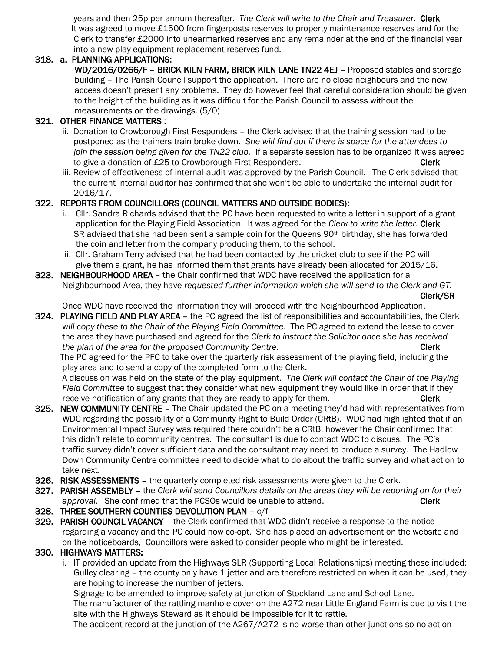years and then 25p per annum thereafter. *The Clerk will write to the Chair and Treasurer.* Clerk It was agreed to move £1500 from fingerposts reserves to property maintenance reserves and for the Clerk to transfer £2000 into unearmarked reserves and any remainder at the end of the financial year into a new play equipment replacement reserves fund.

#### 318. a. PLANNING APPLICATIONS:

WD/2016/0266/F – BRICK KILN FARM, BRICK KILN LANE TN22 4EJ – Proposed stables and storage building – The Parish Council support the application. There are no close neighbours and the new access doesn't present any problems. They do however feel that careful consideration should be given to the height of the building as it was difficult for the Parish Council to assess without the measurements on the drawings. (5/0)

#### 321. OTHER FINANCE MATTERS :

- ii. Donation to Crowborough First Responders the Clerk advised that the training session had to be postponed as the trainers train broke down. *She will find out if there is space for the attendees to join the session being given for the TN22 club.* If a separate session has to be organized it was agreed to give a donation of £25 to Crowborough First Responders. Clerk
- iii. Review of effectiveness of internal audit was approved by the Parish Council. The Clerk advised that the current internal auditor has confirmed that she won't be able to undertake the internal audit for 2016/17.

## 322. REPORTS FROM COUNCILLORS (COUNCIL MATTERS AND OUTSIDE BODIES):

- i. Cllr. Sandra Richards advised that the PC have been requested to write a letter in support of a grant application for the Playing Field Association. It was agreed for the *Clerk to write the letter.* Clerk SR advised that she had been sent a sample coin for the Queens  $90<sup>th</sup>$  birthday, she has forwarded the coin and letter from the company producing them, to the school.
- ii. Cllr. Graham Terry advised that he had been contacted by the cricket club to see if the PC will give them a grant, he has informed them that grants have already been allocated for 2015/16.
- 323. NEIGHBOURHOOD AREA the Chair confirmed that WDC have received the application for a Neighbourhood Area, they have *requested further information which she will send to the Clerk and GT.* Clerk/SR

Once WDC have received the information they will proceed with the Neighbourhood Application.

324. PLAYING FIELD AND PLAY AREA – the PC agreed the list of responsibilities and accountabilities, the Clerk w*ill copy these to the Chair of the Playing Field Committee.* The PC agreed to extend the lease to cover the area they have purchased and agreed for the *Clerk to instruct the Solicitor once she has received the plan of the area for the proposed Community Centre.* The proposed  $\blacksquare$ 

 The PC agreed for the PFC to take over the quarterly risk assessment of the playing field, including the play area and to send a copy of the completed form to the Clerk.

 A discussion was held on the state of the play equipment. *The Clerk will contact the Chair of the Playing Field Committee* to suggest that they consider what new equipment they would like in order that if they receive notification of any grants that they are ready to apply for them. Clerk

- 325. NEW COMMUNITY CENTRE The Chair updated the PC on a meeting they'd had with representatives from WDC regarding the possibility of a Community Right to Build Order (CRtB). WDC had highlighted that if an Environmental Impact Survey was required there couldn't be a CRtB, however the Chair confirmed that this didn't relate to community centres. The consultant is due to contact WDC to discuss. The PC's traffic survey didn't cover sufficient data and the consultant may need to produce a survey. The Hadlow Down Community Centre committee need to decide what to do about the traffic survey and what action to take next.
- 326. RISK ASSESSMENTS the quarterly completed risk assessments were given to the Clerk.
- 327. PARISH ASSEMBLY the *Clerk will send Councillors details on the areas they will be reporting on for their approval.* She confirmed that the PCSOs would be unable to attend. The context of **Clerk**
- 328. THREE SOUTHERN COUNTIES DEVOLUTION PLAN c/f
- 329. PARISH COUNCIL VACANCY the Clerk confirmed that WDC didn't receive a response to the notice regarding a vacancy and the PC could now co-opt. She has placed an advertisement on the website and on the noticeboards, Councillors were asked to consider people who might be interested.

# 330. HIGHWAYS MATTERS:

 i. IT provided an update from the Highways SLR (Supporting Local Relationships) meeting these included: Gulley clearing - the county only have 1 jetter and are therefore restricted on when it can be used, they are hoping to increase the number of jetters.

Signage to be amended to improve safety at junction of Stockland Lane and School Lane.

 The manufacturer of the rattling manhole cover on the A272 near Little England Farm is due to visit the site with the Highways Steward as it should be impossible for it to rattle.

The accident record at the junction of the A267/A272 is no worse than other junctions so no action